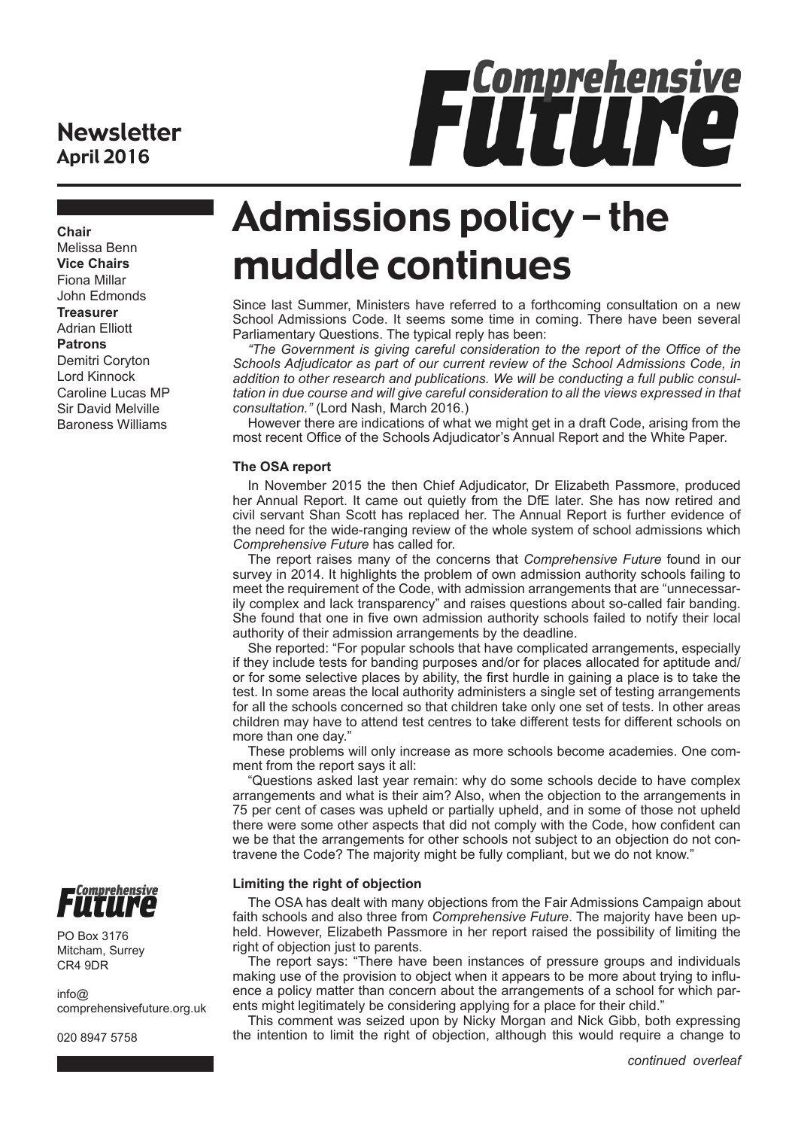# **Newsletter** April 2016

**Chair**

Melissa Benn **Vice Chairs** Fiona Millar John Edmonds **Treasurer** Adrian Elliott **Patrons**

Demitri Coryton Lord Kinnock Caroline Lucas MP Sir David Melville Baroness Williams



Admissions policy – the muddle continues

Since last Summer, Ministers have referred to a forthcoming consultation on a new School Admissions Code. It seems some time in coming. There have been several Parliamentary Questions. The typical reply has been:

*"The Government is giving careful consideration to the report of the Office of the Schools Adjudicator as part of our current review of the School Admissions Code, in addition to other research and publications. We will be conducting a full public consultation in due course and will give careful consideration to all the views expressed in that consultation."* (Lord Nash, March 2016.)

However there are indications of what we might get in a draft Code, arising from the most recent Office of the Schools Adjudicator's Annual Report and the White Paper.

### **The OSA report**

In November 2015 the then Chief Adjudicator, Dr Elizabeth Passmore, produced her Annual Report. It came out quietly from the DfE later. She has now retired and civil servant Shan Scott has replaced her. The Annual Report is further evidence of the need for the wide-ranging review of the whole system of school admissions which *Comprehensive Future* has called for.

The report raises many of the concerns that *Comprehensive Future* found in our survey in 2014. It highlights the problem of own admission authority schools failing to meet the requirement of the Code, with admission arrangements that are "unnecessarily complex and lack transparency" and raises questions about so-called fair banding. She found that one in five own admission authority schools failed to notify their local authority of their admission arrangements by the deadline.

She reported: "For popular schools that have complicated arrangements, especially if they include tests for banding purposes and/or for places allocated for aptitude and/ or for some selective places by ability, the first hurdle in gaining a place is to take the test. In some areas the local authority administers a single set of testing arrangements for all the schools concerned so that children take only one set of tests. In other areas children may have to attend test centres to take different tests for different schools on more than one day."

These problems will only increase as more schools become academies. One comment from the report says it all:

"Questions asked last year remain: why do some schools decide to have complex arrangements and what is their aim? Also, when the objection to the arrangements in 75 per cent of cases was upheld or partially upheld, and in some of those not upheld there were some other aspects that did not comply with the Code, how confident can we be that the arrangements for other schools not subject to an objection do not contravene the Code? The majority might be fully compliant, but we do not know."

### **Limiting the right of objection**

The OSA has dealt with many objections from the Fair Admissions Campaign about faith schools and also three from *Comprehensive Future*. The majority have been upheld. However, Elizabeth Passmore in her report raised the possibility of limiting the right of objection just to parents.

The report says: "There have been instances of pressure groups and individuals making use of the provision to object when it appears to be more about trying to influence a policy matter than concern about the arrangements of a school for which parents might legitimately be considering applying for a place for their child."

This comment was seized upon by Nicky Morgan and Nick Gibb, both expressing the intention to limit the right of objection, although this would require a change to



PO Box 3176 Mitcham, Surrey CR4 9DR

 $info@$ comprehensivefuture.org.uk

020 8947 5758